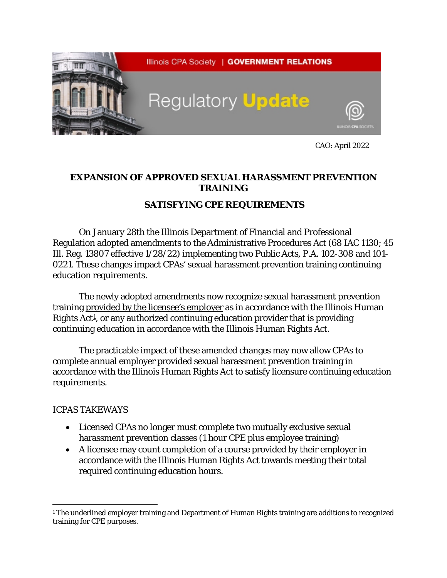

CAO: April 2022

## **EXPANSION OF APPROVED SEXUAL HARASSMENT PREVENTION TRAINING**

## *SATISFYING CPE REQUIREMENTS*

On January 28th the Illinois Department of Financial and Professional Regulation adopted amendments to the Administrative Procedures Act (68 IAC 1130; 45 Ill. Reg. 13807 effective 1/28/22) implementing two Public Acts, P.A. 102-308 and 101- 0221. These changes impact CPAs' sexual harassment prevention training continuing education requirements.

The newly adopted amendments now recognize sexual harassment prevention training provided by the licensee's employer as in accordance with the Illinois Human Rights  $Act<sup>1</sup>$ , or any authorized continuing education provider that is providing continuing education in accordance with the Illinois Human Rights Act.

The practicable impact of these amended changes may now allow CPAs to complete annual employer provided sexual harassment prevention training in accordance with the Illinois Human Rights Act to satisfy licensure continuing education requirements.

## ICPAS TAKEWAYS

- Licensed CPAs no longer must complete two mutually exclusive sexual harassment prevention classes (1 hour CPE plus employee training)
- A licensee may count completion of a course provided by their employer in accordance with the Illinois Human Rights Act towards meeting their total required continuing education hours.

<span id="page-0-0"></span><sup>1</sup> The underlined employer training and Department of Human Rights training are additions to recognized training for CPE purposes.